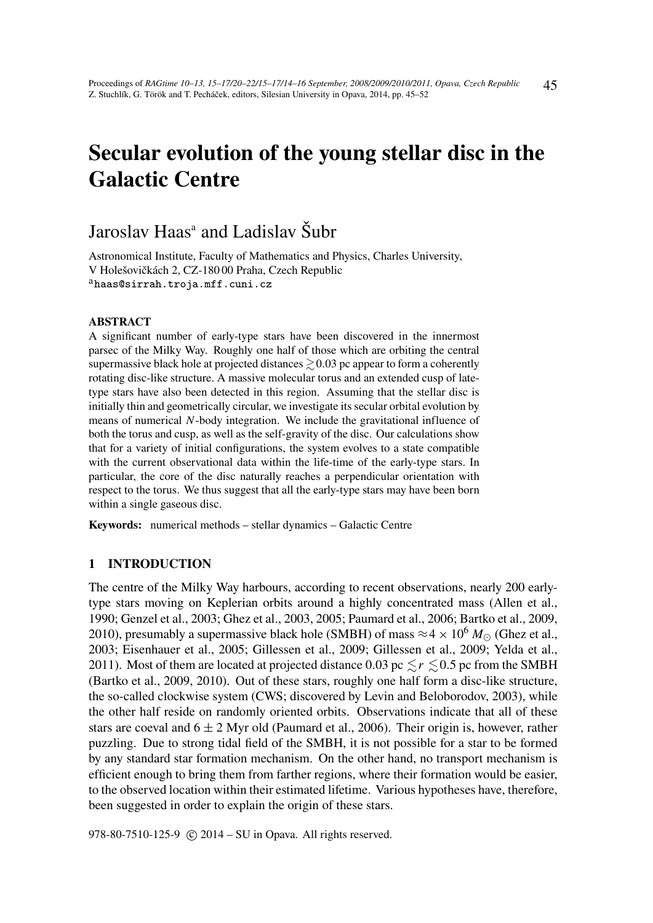# Secular evolution of the young stellar disc in the Galactic Centre

## Jaroslav Haas<sup>a</sup> and Ladislav Šubr

Astronomical Institute, Faculty of Mathematics and Physics, Charles University, V Holešovičkách 2, CZ-180 00 Praha, Czech Republic <sup>a</sup>haas@sirrah.troja.mff.cuni.cz

#### ABSTRACT

A significant number of early-type stars have been discovered in the innermost parsec of the Milky Way. Roughly one half of those which are orbiting the central supermassive black hole at projected distances  $\geq 0.03$  pc appear to form a coherently rotating disc-like structure. A massive molecular torus and an extended cusp of latetype stars have also been detected in this region. Assuming that the stellar disc is initially thin and geometrically circular, we investigate its secular orbital evolution by means of numerical *N*-body integration. We include the gravitational influence of both the torus and cusp, as well as the self-gravity of the disc. Our calculations show that for a variety of initial configurations, the system evolves to a state compatible with the current observational data within the life-time of the early-type stars. In particular, the core of the disc naturally reaches a perpendicular orientation with respect to the torus. We thus suggest that all the early-type stars may have been born within a single gaseous disc.

Keywords: numerical methods – stellar dynamics – Galactic Centre

### 1 INTRODUCTION

The centre of the Milky Way harbours, according to recent observations, nearly 200 earlytype stars moving on Keplerian orbits around a highly concentrated mass (Allen et al., 1990; Genzel et al., 2003; Ghez et al., 2003, 2005; Paumard et al., 2006; Bartko et al., 2009, 2010), presumably a supermassive black hole (SMBH) of mass  $\approx 4 \times 10^6 M_{\odot}$  (Ghez et al., 2003; Eisenhauer et al., 2005; Gillessen et al., 2009; Gillessen et al., 2009; Yelda et al., 2011). Most of them are located at projected distance 0.03 pc  $\leq r \leq 0.5$  pc from the SMBH (Bartko et al., 2009, 2010). Out of these stars, roughly one half form a disc-like structure, the so-called clockwise system (CWS; discovered by Levin and Beloborodov, 2003), while the other half reside on randomly oriented orbits. Observations indicate that all of these stars are coeval and  $6 \pm 2$  Myr old (Paumard et al., 2006). Their origin is, however, rather puzzling. Due to strong tidal field of the SMBH, it is not possible for a star to be formed by any standard star formation mechanism. On the other hand, no transport mechanism is efficient enough to bring them from farther regions, where their formation would be easier, to the observed location within their estimated lifetime. Various hypotheses have, therefore, been suggested in order to explain the origin of these stars.

978-80-7510-125-9 (c) 2014 – SU in Opava. All rights reserved.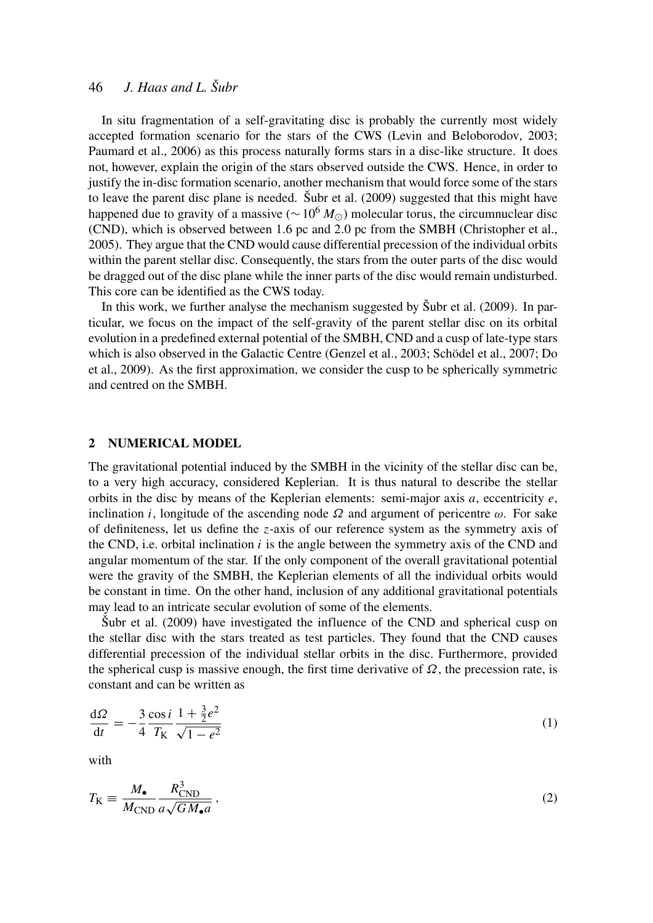## 46 *J. Haas and L. Šubr*

In situ fragmentation of a self-gravitating disc is probably the currently most widely accepted formation scenario for the stars of the CWS (Levin and Beloborodov, 2003; Paumard et al., 2006) as this process naturally forms stars in a disc-like structure. It does not, however, explain the origin of the stars observed outside the CWS. Hence, in order to justify the in-disc formation scenario, another mechanism that would force some of the stars to leave the parent disc plane is needed. Šubr et al. (2009) suggested that this might have happened due to gravity of a massive ( $\sim 10^6 M_{\odot}$ ) molecular torus, the circumnuclear disc (CND), which is observed between 1.6 pc and 2.0 pc from the SMBH (Christopher et al., 2005). They argue that the CND would cause differential precession of the individual orbits within the parent stellar disc. Consequently, the stars from the outer parts of the disc would be dragged out of the disc plane while the inner parts of the disc would remain undisturbed. This core can be identified as the CWS today.

In this work, we further analyse the mechanism suggested by Šubr et al. (2009). In particular, we focus on the impact of the self-gravity of the parent stellar disc on its orbital evolution in a predefined external potential of the SMBH, CND and a cusp of late-type stars which is also observed in the Galactic Centre (Genzel et al., 2003; Schödel et al., 2007; Do et al., 2009). As the first approximation, we consider the cusp to be spherically symmetric and centred on the SMBH.

#### 2 NUMERICAL MODEL

The gravitational potential induced by the SMBH in the vicinity of the stellar disc can be, to a very high accuracy, considered Keplerian. It is thus natural to describe the stellar orbits in the disc by means of the Keplerian elements: semi-major axis *a*, eccentricity *e*, inclination *i*, longitude of the ascending node  $\Omega$  and argument of pericentre  $\omega$ . For sake of definiteness, let us define the *z*-axis of our reference system as the symmetry axis of the CND, i.e. orbital inclination  $i$  is the angle between the symmetry axis of the CND and angular momentum of the star. If the only component of the overall gravitational potential were the gravity of the SMBH, the Keplerian elements of all the individual orbits would be constant in time. On the other hand, inclusion of any additional gravitational potentials may lead to an intricate secular evolution of some of the elements.

Šubr et al. (2009) have investigated the influence of the CND and spherical cusp on the stellar disc with the stars treated as test particles. They found that the CND causes differential precession of the individual stellar orbits in the disc. Furthermore, provided the spherical cusp is massive enough, the first time derivative of  $\Omega$ , the precession rate, is constant and can be written as

$$
\frac{d\Omega}{dt} = -\frac{3}{4} \frac{\cos i}{T_K} \frac{1 + \frac{3}{2}e^2}{\sqrt{1 - e^2}}\tag{1}
$$

with

$$
T_{\rm K} \equiv \frac{M_{\bullet}}{M_{\rm CND}} \frac{R_{\rm CND}^3}{a\sqrt{GM_{\bullet}a}}\,,\tag{2}
$$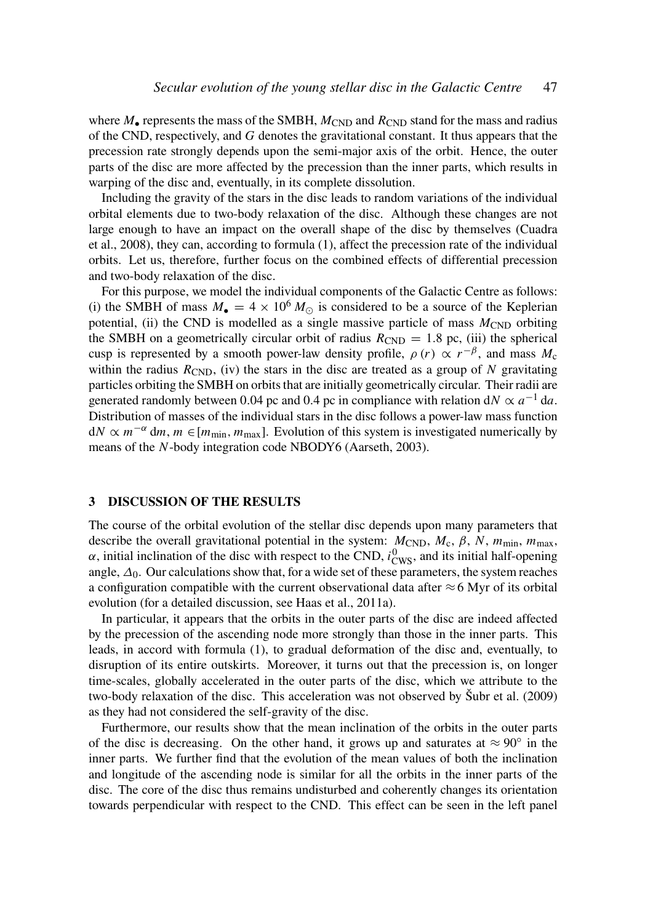where  $M_{\bullet}$  represents the mass of the SMBH,  $M_{\text{CND}}$  and  $R_{\text{CND}}$  stand for the mass and radius of the CND, respectively, and *G* denotes the gravitational constant. It thus appears that the precession rate strongly depends upon the semi-major axis of the orbit. Hence, the outer parts of the disc are more affected by the precession than the inner parts, which results in warping of the disc and, eventually, in its complete dissolution.

Including the gravity of the stars in the disc leads to random variations of the individual orbital elements due to two-body relaxation of the disc. Although these changes are not large enough to have an impact on the overall shape of the disc by themselves (Cuadra et al., 2008), they can, according to formula (1), affect the precession rate of the individual orbits. Let us, therefore, further focus on the combined effects of differential precession and two-body relaxation of the disc.

For this purpose, we model the individual components of the Galactic Centre as follows: (i) the SMBH of mass  $M_{\bullet} = 4 \times 10^{6} M_{\odot}$  is considered to be a source of the Keplerian potential, (ii) the CND is modelled as a single massive particle of mass  $M_{\text{CND}}$  orbiting the SMBH on a geometrically circular orbit of radius  $R_{\text{CND}} = 1.8$  pc, (iii) the spherical cusp is represented by a smooth power-law density profile,  $\rho(r) \propto r^{-\beta}$ , and mass  $M_c$ within the radius  $R_{\text{CND}}$ , (iv) the stars in the disc are treated as a group of *N* gravitating particles orbiting the SMBH on orbits that are initially geometrically circular. Their radii are generated randomly between 0.04 pc and 0.4 pc in compliance with relation d $N \propto a^{-1}$  da. Distribution of masses of the individual stars in the disc follows a power-law mass function  $dN \propto m^{-\alpha}$  dm,  $m \in [m_{\text{min}}, m_{\text{max}}]$ . Evolution of this system is investigated numerically by means of the *N*-body integration code NBODY6 (Aarseth, 2003).

#### 3 DISCUSSION OF THE RESULTS

The course of the orbital evolution of the stellar disc depends upon many parameters that describe the overall gravitational potential in the system:  $M_{CND}$ ,  $M_c$ ,  $\beta$ ,  $N$ ,  $m_{min}$ ,  $m_{max}$ ,  $\alpha$ , initial inclination of the disc with respect to the CND,  $i_{\text{CWS}}^0$ , and its initial half-opening angle,  $\Delta_0$ . Our calculations show that, for a wide set of these parameters, the system reaches a configuration compatible with the current observational data after  $\approx$  6 Myr of its orbital evolution (for a detailed discussion, see Haas et al., 2011a).

In particular, it appears that the orbits in the outer parts of the disc are indeed affected by the precession of the ascending node more strongly than those in the inner parts. This leads, in accord with formula (1), to gradual deformation of the disc and, eventually, to disruption of its entire outskirts. Moreover, it turns out that the precession is, on longer time-scales, globally accelerated in the outer parts of the disc, which we attribute to the two-body relaxation of the disc. This acceleration was not observed by Šubr et al. (2009) as they had not considered the self-gravity of the disc.

Furthermore, our results show that the mean inclination of the orbits in the outer parts of the disc is decreasing. On the other hand, it grows up and saturates at  $\approx 90^{\circ}$  in the inner parts. We further find that the evolution of the mean values of both the inclination and longitude of the ascending node is similar for all the orbits in the inner parts of the disc. The core of the disc thus remains undisturbed and coherently changes its orientation towards perpendicular with respect to the CND. This effect can be seen in the left panel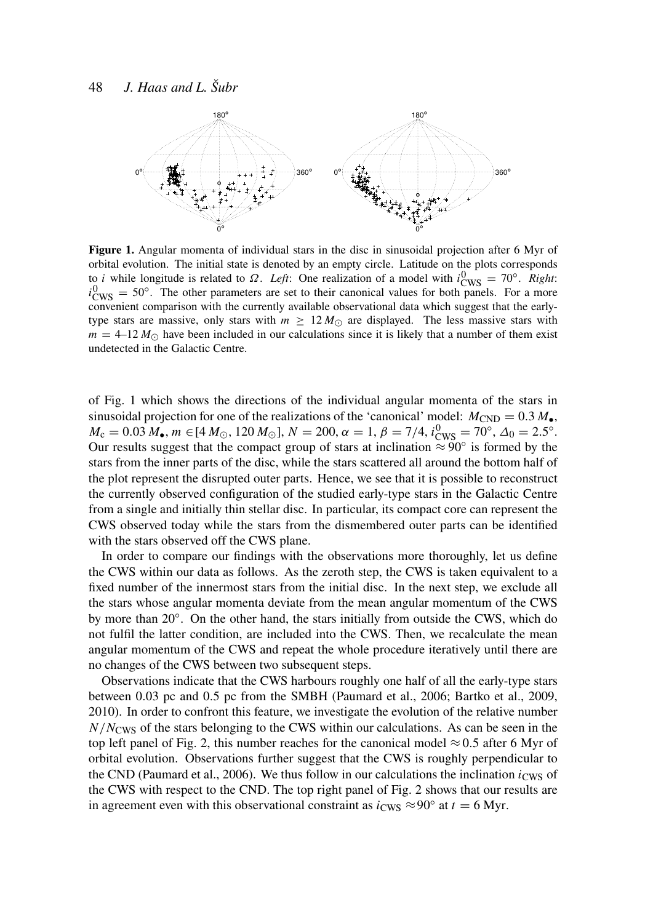

Figure 1. Angular momenta of individual stars in the disc in sinusoidal projection after 6 Myr of orbital evolution. The initial state is denoted by an empty circle. Latitude on the plots corresponds to *i* while longitude is related to  $\Omega$ . *Left*: One realization of a model with  $i_{\text{CWS}}^0 = 70^\circ$ . *Right*:  $i_{\text{CWS}}^0 = 50^\circ$ . The other parameters are set to their canonical values for both panels. For a more convenient comparison with the currently available observational data which suggest that the earlytype stars are massive, only stars with  $m \geq 12 M_{\odot}$  are displayed. The less massive stars with  $m = 4{\text -}12 M_{\odot}$  have been included in our calculations since it is likely that a number of them exist undetected in the Galactic Centre.

of Fig. 1 which shows the directions of the individual angular momenta of the stars in sinusoidal projection for one of the realizations of the 'canonical' model:  $M_{\text{CND}} = 0.3 M_{\bullet}$ ,  $M_c = 0.03 M_{\bullet}$ ,  $m \in [4 \, M_{\odot}, 120 M_{\odot}]$ ,  $N = 200$ ,  $\alpha = 1$ ,  $\beta = 7/4$ ,  $i_{\text{CWS}}^0 = 70^{\circ}$ ,  $\Delta_0 = 2.5^{\circ}$ . Our results suggest that the compact group of stars at inclination  $\approx 90^{\circ}$  is formed by the stars from the inner parts of the disc, while the stars scattered all around the bottom half of the plot represent the disrupted outer parts. Hence, we see that it is possible to reconstruct the currently observed configuration of the studied early-type stars in the Galactic Centre from a single and initially thin stellar disc. In particular, its compact core can represent the CWS observed today while the stars from the dismembered outer parts can be identified with the stars observed off the CWS plane.

In order to compare our findings with the observations more thoroughly, let us define the CWS within our data as follows. As the zeroth step, the CWS is taken equivalent to a fixed number of the innermost stars from the initial disc. In the next step, we exclude all the stars whose angular momenta deviate from the mean angular momentum of the CWS by more than 20°. On the other hand, the stars initially from outside the CWS, which do not fulfil the latter condition, are included into the CWS. Then, we recalculate the mean angular momentum of the CWS and repeat the whole procedure iteratively until there are no changes of the CWS between two subsequent steps.

Observations indicate that the CWS harbours roughly one half of all the early-type stars between 0.03 pc and 0.5 pc from the SMBH (Paumard et al., 2006; Bartko et al., 2009, 2010). In order to confront this feature, we investigate the evolution of the relative number *N*/*N*CWS of the stars belonging to the CWS within our calculations. As can be seen in the top left panel of Fig. 2, this number reaches for the canonical model  $\approx 0.5$  after 6 Myr of orbital evolution. Observations further suggest that the CWS is roughly perpendicular to the CND (Paumard et al., 2006). We thus follow in our calculations the inclination  $i_{\rm CW}$  of the CWS with respect to the CND. The top right panel of Fig. 2 shows that our results are in agreement even with this observational constraint as  $i_{\text{CWS}} \approx 90^\circ$  at  $t = 6 \text{ Myr}$ .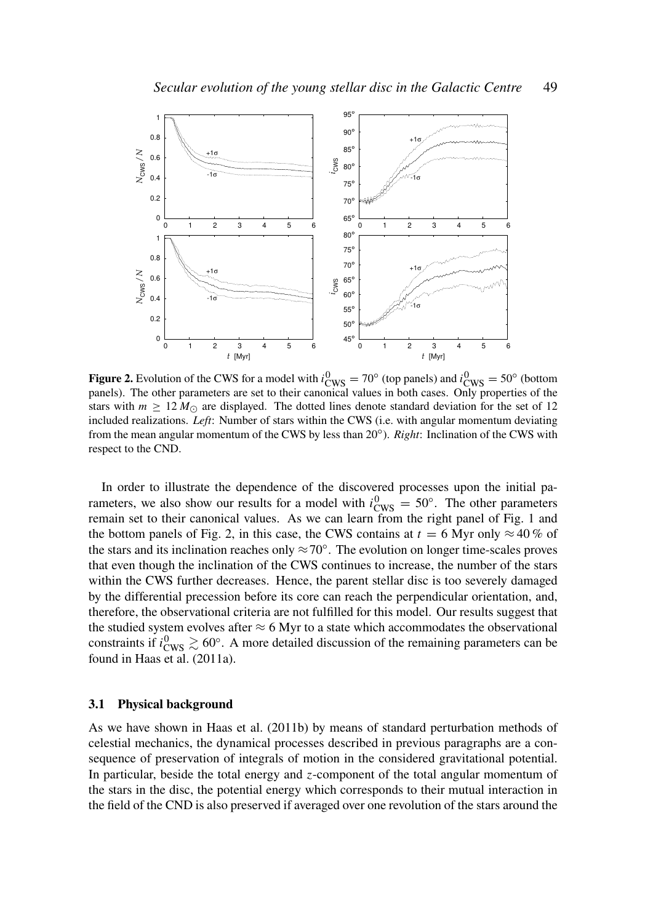

**Figure 2.** Evolution of the CWS for a model with  $i_{CWS}^0 = 70^\circ$  (top panels) and  $i_{CWS}^0 = 50^\circ$  (bottom panels). The other parameters are set to their canonical values in both cases. Only properties of the stars with  $m \geq 12 M_{\odot}$  are displayed. The dotted lines denote standard deviation for the set of 12 included realizations. *Left*: Number of stars within the CWS (i.e. with angular momentum deviating from the mean angular momentum of the CWS by less than 20°). *Right*: Inclination of the CWS with respect to the CND.

In order to illustrate the dependence of the discovered processes upon the initial parameters, we also show our results for a model with  $i_{\text{CWS}}^0 = 50^\circ$ . The other parameters remain set to their canonical values. As we can learn from the right panel of Fig. 1 and the bottom panels of Fig. 2, in this case, the CWS contains at  $t = 6$  Myr only  $\approx 40\%$  of the stars and its inclination reaches only  $\approx 70^\circ$ . The evolution on longer time-scales proves that even though the inclination of the CWS continues to increase, the number of the stars within the CWS further decreases. Hence, the parent stellar disc is too severely damaged by the differential precession before its core can reach the perpendicular orientation, and, therefore, the observational criteria are not fulfilled for this model. Our results suggest that the studied system evolves after  $\approx 6$  Myr to a state which accommodates the observational constraints if  $i_{\text{CWS}}^0 \gtrsim 60^\circ$ . A more detailed discussion of the remaining parameters can be found in Haas et al. (2011a).

#### 3.1 Physical background

As we have shown in Haas et al. (2011b) by means of standard perturbation methods of celestial mechanics, the dynamical processes described in previous paragraphs are a consequence of preservation of integrals of motion in the considered gravitational potential. In particular, beside the total energy and *z*-component of the total angular momentum of the stars in the disc, the potential energy which corresponds to their mutual interaction in the field of the CND is also preserved if averaged over one revolution of the stars around the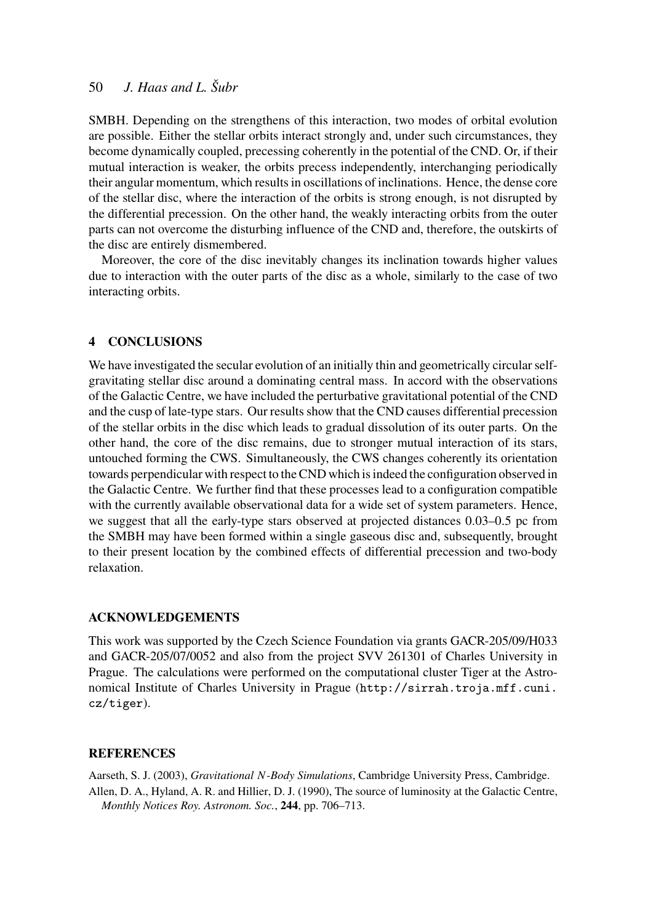## 50 *J. Haas and L. Šubr*

SMBH. Depending on the strengthens of this interaction, two modes of orbital evolution are possible. Either the stellar orbits interact strongly and, under such circumstances, they become dynamically coupled, precessing coherently in the potential of the CND. Or, if their mutual interaction is weaker, the orbits precess independently, interchanging periodically their angular momentum, which results in oscillations of inclinations. Hence, the dense core of the stellar disc, where the interaction of the orbits is strong enough, is not disrupted by the differential precession. On the other hand, the weakly interacting orbits from the outer parts can not overcome the disturbing influence of the CND and, therefore, the outskirts of the disc are entirely dismembered.

Moreover, the core of the disc inevitably changes its inclination towards higher values due to interaction with the outer parts of the disc as a whole, similarly to the case of two interacting orbits.

#### 4 CONCLUSIONS

We have investigated the secular evolution of an initially thin and geometrically circular selfgravitating stellar disc around a dominating central mass. In accord with the observations of the Galactic Centre, we have included the perturbative gravitational potential of the CND and the cusp of late-type stars. Our results show that the CND causes differential precession of the stellar orbits in the disc which leads to gradual dissolution of its outer parts. On the other hand, the core of the disc remains, due to stronger mutual interaction of its stars, untouched forming the CWS. Simultaneously, the CWS changes coherently its orientation towards perpendicular with respect to the CND which is indeed the configuration observed in the Galactic Centre. We further find that these processes lead to a configuration compatible with the currently available observational data for a wide set of system parameters. Hence, we suggest that all the early-type stars observed at projected distances 0.03–0.5 pc from the SMBH may have been formed within a single gaseous disc and, subsequently, brought to their present location by the combined effects of differential precession and two-body relaxation.

#### ACKNOWLEDGEMENTS

This work was supported by the Czech Science Foundation via grants GACR-205/09/H033 and GACR-205/07/0052 and also from the project SVV 261301 of Charles University in Prague. The calculations were performed on the computational cluster Tiger at the Astronomical Institute of Charles University in Prague (http://sirrah.troja.mff.cuni. cz/tiger).

#### **REFERENCES**

Aarseth, S. J. (2003), *Gravitational N-Body Simulations*, Cambridge University Press, Cambridge. Allen, D. A., Hyland, A. R. and Hillier, D. J. (1990), The source of luminosity at the Galactic Centre, *Monthly Notices Roy. Astronom. Soc.*, 244, pp. 706–713.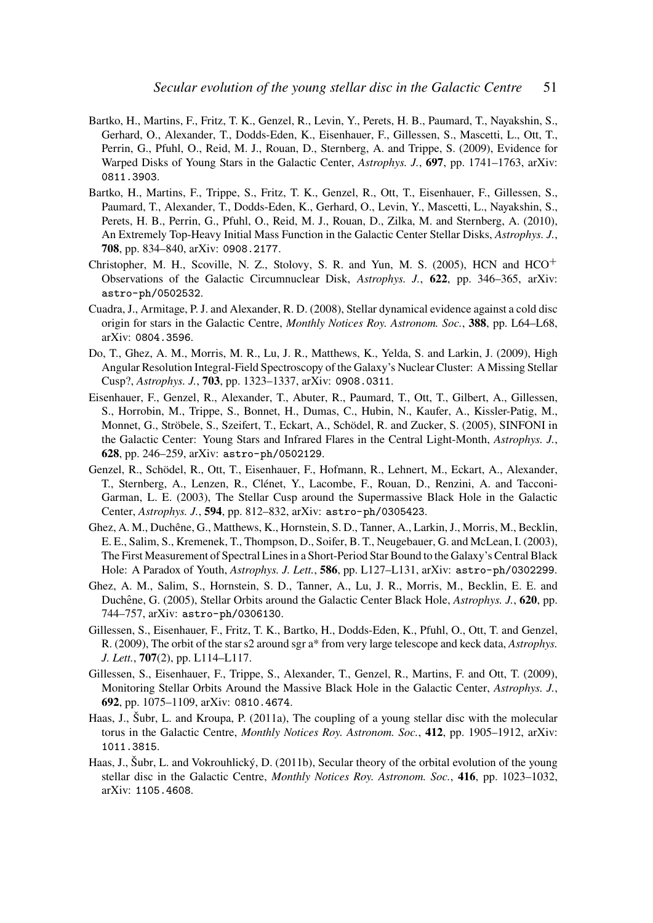- Bartko, H., Martins, F., Fritz, T. K., Genzel, R., Levin, Y., Perets, H. B., Paumard, T., Nayakshin, S., Gerhard, O., Alexander, T., Dodds-Eden, K., Eisenhauer, F., Gillessen, S., Mascetti, L., Ott, T., Perrin, G., Pfuhl, O., Reid, M. J., Rouan, D., Sternberg, A. and Trippe, S. (2009), Evidence for Warped Disks of Young Stars in the Galactic Center, *Astrophys. J.*, 697, pp. 1741–1763, arXiv: 0811.3903.
- Bartko, H., Martins, F., Trippe, S., Fritz, T. K., Genzel, R., Ott, T., Eisenhauer, F., Gillessen, S., Paumard, T., Alexander, T., Dodds-Eden, K., Gerhard, O., Levin, Y., Mascetti, L., Nayakshin, S., Perets, H. B., Perrin, G., Pfuhl, O., Reid, M. J., Rouan, D., Zilka, M. and Sternberg, A. (2010), An Extremely Top-Heavy Initial Mass Function in the Galactic Center Stellar Disks, *Astrophys. J.*, 708, pp. 834–840, arXiv: 0908.2177.
- Christopher, M. H., Scoville, N. Z., Stolovy, S. R. and Yun, M. S. (2005), HCN and  $HCO<sup>+</sup>$ Observations of the Galactic Circumnuclear Disk, *Astrophys. J.*, 622, pp. 346–365, arXiv: astro-ph/0502532.
- Cuadra, J., Armitage, P. J. and Alexander, R. D. (2008), Stellar dynamical evidence against a cold disc origin for stars in the Galactic Centre, *Monthly Notices Roy. Astronom. Soc.*, 388, pp. L64–L68, arXiv: 0804.3596.
- Do, T., Ghez, A. M., Morris, M. R., Lu, J. R., Matthews, K., Yelda, S. and Larkin, J. (2009), High Angular Resolution Integral-Field Spectroscopy of the Galaxy's Nuclear Cluster: A Missing Stellar Cusp?, *Astrophys. J.*, 703, pp. 1323–1337, arXiv: 0908.0311.
- Eisenhauer, F., Genzel, R., Alexander, T., Abuter, R., Paumard, T., Ott, T., Gilbert, A., Gillessen, S., Horrobin, M., Trippe, S., Bonnet, H., Dumas, C., Hubin, N., Kaufer, A., Kissler-Patig, M., Monnet, G., Ströbele, S., Szeifert, T., Eckart, A., Schödel, R. and Zucker, S. (2005), SINFONI in the Galactic Center: Young Stars and Infrared Flares in the Central Light-Month, *Astrophys. J.*, 628, pp. 246–259, arXiv: astro-ph/0502129.
- Genzel, R., Schödel, R., Ott, T., Eisenhauer, F., Hofmann, R., Lehnert, M., Eckart, A., Alexander, T., Sternberg, A., Lenzen, R., Clénet, Y., Lacombe, F., Rouan, D., Renzini, A. and Tacconi-Garman, L. E. (2003), The Stellar Cusp around the Supermassive Black Hole in the Galactic Center, *Astrophys. J.*, 594, pp. 812–832, arXiv: astro-ph/0305423.
- Ghez, A. M., Duchêne, G., Matthews, K., Hornstein, S. D., Tanner, A., Larkin, J., Morris, M., Becklin, E. E., Salim, S., Kremenek, T., Thompson, D., Soifer, B. T., Neugebauer, G. and McLean, I. (2003), The First Measurement of Spectral Lines in a Short-Period Star Bound to the Galaxy's Central Black Hole: A Paradox of Youth, *Astrophys. J. Lett.*, 586, pp. L127–L131, arXiv: astro-ph/0302299.
- Ghez, A. M., Salim, S., Hornstein, S. D., Tanner, A., Lu, J. R., Morris, M., Becklin, E. E. and Duchêne, G. (2005), Stellar Orbits around the Galactic Center Black Hole, *Astrophys. J.*, 620, pp. 744–757, arXiv: astro-ph/0306130.
- Gillessen, S., Eisenhauer, F., Fritz, T. K., Bartko, H., Dodds-Eden, K., Pfuhl, O., Ott, T. and Genzel, R. (2009), The orbit of the star s2 around sgr a\* from very large telescope and keck data, *Astrophys. J. Lett.*, 707(2), pp. L114–L117.
- Gillessen, S., Eisenhauer, F., Trippe, S., Alexander, T., Genzel, R., Martins, F. and Ott, T. (2009), Monitoring Stellar Orbits Around the Massive Black Hole in the Galactic Center, *Astrophys. J.*, 692, pp. 1075–1109, arXiv: 0810.4674.
- Haas, J., Šubr, L. and Kroupa, P. (2011a), The coupling of a young stellar disc with the molecular torus in the Galactic Centre, *Monthly Notices Roy. Astronom. Soc.*, 412, pp. 1905–1912, arXiv: 1011.3815.
- Haas, J., Šubr, L. and Vokrouhlický, D. (2011b), Secular theory of the orbital evolution of the young stellar disc in the Galactic Centre, *Monthly Notices Roy. Astronom. Soc.*, 416, pp. 1023–1032, arXiv: 1105.4608.